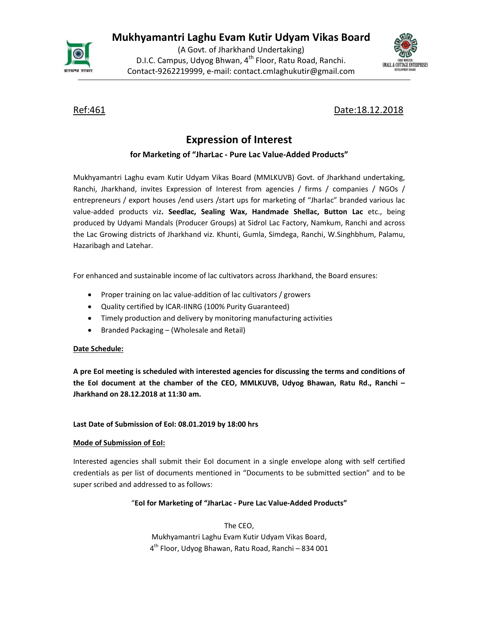Mukhyamantri Laghu Evam Kutir Udyam Vikas Board



(A Govt. of Jharkhand Undertaking) D.I.C. Campus, Udyog Bhwan, 4<sup>th</sup> Floor, Ratu Road, Ranchi. <sub>SMALL&</sub> COTER FREE PRISER Contact-9262219999, e-mail: contact.cmlaghukutir@gmail.com



Ref:461 Date:18.12.2018

# Expression of Interest

## for Marketing of "JharLac - Pure Lac Value-Added Products"

Mukhyamantri Laghu evam Kutir Udyam Vikas Board (MMLKUVB) Govt. of Jharkhand undertaking, Ranchi, Jharkhand, invites Expression of Interest from agencies / firms / companies / NGOs / entrepreneurs / export houses /end users /start ups for marketing of "Jharlac" branded various lac value-added products viz. Seedlac, Sealing Wax, Handmade Shellac, Button Lac etc., being produced by Udyami Mandals (Producer Groups) at Sidrol Lac Factory, Namkum, Ranchi and across the Lac Growing districts of Jharkhand viz. Khunti, Gumla, Simdega, Ranchi, W.Singhbhum, Palamu, Hazaribagh and Latehar.

For enhanced and sustainable income of lac cultivators across Jharkhand, the Board ensures:

- Proper training on lac value-addition of lac cultivators / growers
- Quality certified by ICAR-IINRG (100% Purity Guaranteed)
- Timely production and delivery by monitoring manufacturing activities
- Branded Packaging (Wholesale and Retail)

## Date Schedule:

A pre EoI meeting is scheduled with interested agencies for discussing the terms and conditions of the EoI document at the chamber of the CEO, MMLKUVB, Udyog Bhawan, Ratu Rd., Ranchi – Jharkhand on 28.12.2018 at 11:30 am.

## Last Date of Submission of EoI: 08.01.2019 by 18:00 hrs

## Mode of Submission of EoI:

Interested agencies shall submit their EoI document in a single envelope along with self certified credentials as per list of documents mentioned in "Documents to be submitted section" and to be super scribed and addressed to as follows:<br>"EoI for Marketing of "JharLac - Pure Lac Value-Added Products"

The CEO, Mukhyamantri Laghu Evam Kutir Udyam Vikas Board, 4<sup>th</sup> Floor, Udyog Bhawan, Ratu Road, Ranchi – 834 001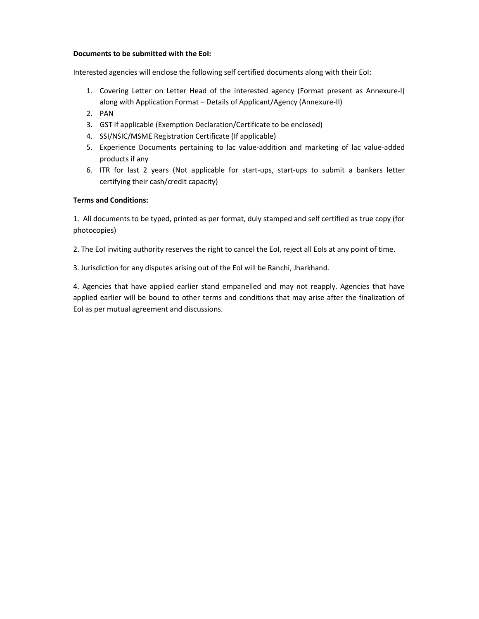#### Documents to be submitted with the EoI:

Interested agencies will enclose the following self certified documents along with their EoI:

- 1. Covering Letter on Letter Head of the interested agency (Format present as Annexure-I) along with Application Format – Details of Applicant/Agency (Annexure-II)
- 2. PAN
- 3. GST if applicable (Exemption Declaration/Certificate to be enclosed)
- 4. SSI/NSIC/MSME Registration Certificate (If applicable)
- 5. Experience Documents pertaining to lac value-addition and marketing of lac value-added products if any
- 6. ITR for last 2 years (Not applicable for start-ups, start-ups to submit a bankers letter certifying their cash/credit capacity)

### Terms and Conditions:

1. All documents to be typed, printed as per format, duly stamped and self certified as true copy (for photocopies)

2. The EoI inviting authority reserves the right to cancel the EoI, reject all EoIs at any point of time.

3. Jurisdiction for any disputes arising out of the EoI will be Ranchi, Jharkhand.

4. Agencies that have applied earlier stand empanelled and may not reapply. Agencies that have applied earlier will be bound to other terms and conditions that may arise after the finalization of EoI as per mutual agreement and discussions.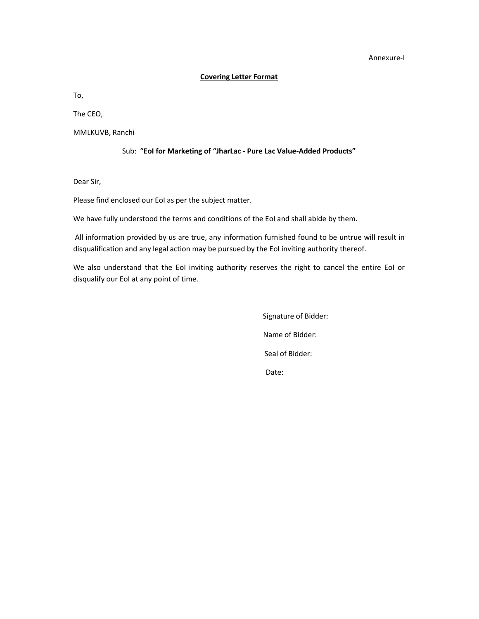#### Annexure-I

#### Covering Letter Format

To,

The CEO,

MMLKUVB, Ranchi

### Sub: "EoI for Marketing of "JharLac - Pure Lac Value-Added Products"

Dear Sir,

Please find enclosed our EoI as per the subject matter.

We have fully understood the terms and conditions of the EoI and shall abide by them.

 All information provided by us are true, any information furnished found to be untrue will result in disqualification and any legal action may be pursued by the EoI inviting authority thereof.

We also understand that the EoI inviting authority reserves the right to cancel the entire EoI or disqualify our EoI at any point of time.

> Signature of Bidder: Name of Bidder: Seal of Bidder: Date: